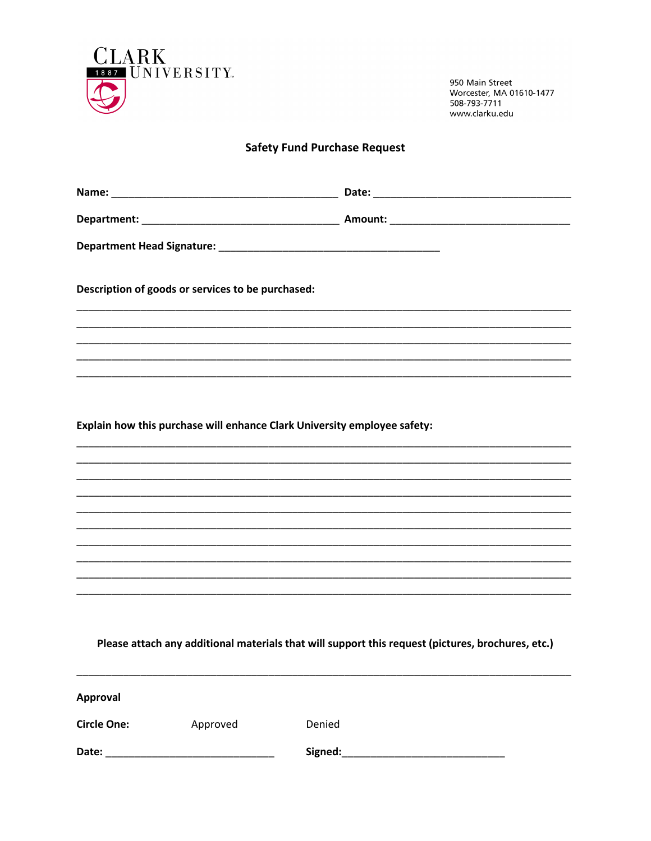

950 Main Street Worcester, MA 01610-1477 508-793-7711 www.clarku.edu

## **Safety Fund Purchase Request**

| Description of goods or services to be purchased:                                                 |                    |  |
|---------------------------------------------------------------------------------------------------|--------------------|--|
|                                                                                                   |                    |  |
|                                                                                                   |                    |  |
|                                                                                                   |                    |  |
|                                                                                                   |                    |  |
|                                                                                                   |                    |  |
| Explain how this purchase will enhance Clark University employee safety:                          |                    |  |
|                                                                                                   |                    |  |
|                                                                                                   |                    |  |
|                                                                                                   |                    |  |
|                                                                                                   |                    |  |
|                                                                                                   |                    |  |
|                                                                                                   |                    |  |
|                                                                                                   |                    |  |
|                                                                                                   |                    |  |
| Please attach any additional materials that will support this request (pictures, brochures, etc.) |                    |  |
| <b>Approval</b>                                                                                   |                    |  |
| <b>Circle One:</b>                                                                                | Approved<br>Denied |  |
|                                                                                                   |                    |  |